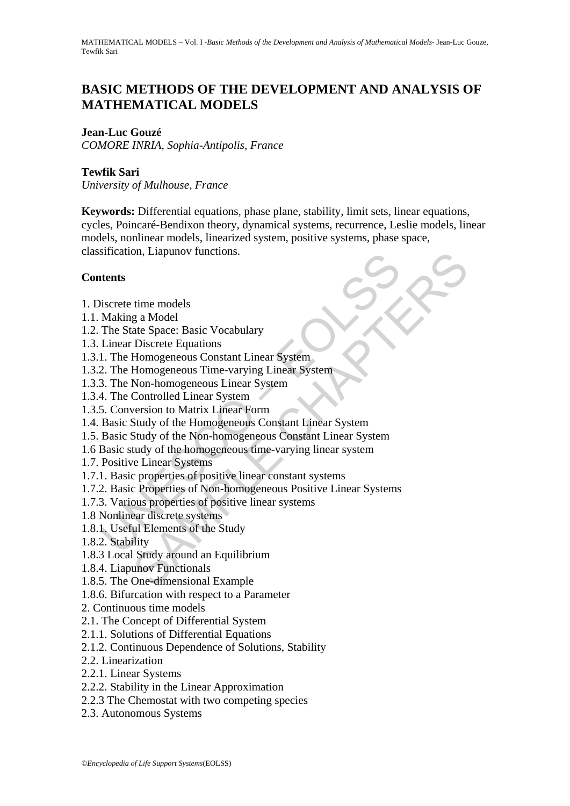# **BASIC METHODS OF THE DEVELOPMENT AND ANALYSIS OF MATHEMATICAL MODELS**

# **Jean-Luc Gouzé**

*COMORE INRIA, Sophia-Antipolis, France* 

# **Tewfik Sari**

*University of Mulhouse, France* 

**Keywords:** Differential equations, phase plane, stability, limit sets, linear equations, cycles, Poincaré-Bendixon theory, dynamical systems, recurrence, Leslie models, linear models, nonlinear models, linearized system, positive systems, phase space, classification, Liapunov functions.

# **Contents**

- 1. Discrete time models
- 1.1. Making a Model
- 1.2. The State Space: Basic Vocabulary
- 1.3. Linear Discrete Equations
- 1.3.1. The Homogeneous Constant Linear System
- 1.3.2. The Homogeneous Time-varying Linear System
- 1.3.3. The Non-homogeneous Linear System
- 1.3.4. The Controlled Linear System
- 1.3.5. Conversion to Matrix Linear Form
- 1.4. Basic Study of the Homogeneous Constant Linear System
- Sincation, Liapunov inicitois.<br>
Making a Model<br>
Making a Model<br>
Making a Model<br>
Linear Discrete Equations<br>
Linear Discrete Equations<br>
1. The Homogeneous Constant Linear System<br>
2. The Homogeneous Time-varying Linear System on, Liapunov runctions.<br>
ime models<br>
g a Model<br>
ate Space: Basic Vocabulary<br>
Discrete Equations<br>
Homogeneous Constant Linear System<br>
Homogeneous Constant Linear System<br>
Non-homogeneous Linear System<br>
Controlled Linear Syst 1.5. Basic Study of the Non-homogeneous Constant Linear System
- 1.6 Basic study of the homogeneous time-varying linear system
- 1.7. Positive Linear Systems
- 1.7.1. Basic properties of positive linear constant systems
- 1.7.2. Basic Properties of Non-homogeneous Positive Linear Systems
- 1.7.3. Various properties of positive linear systems
- 1.8 Nonlinear discrete systems
- 1.8.1. Useful Elements of the Study
- 1.8.2. Stability
- 1.8.3 Local Study around an Equilibrium
- 1.8.4. Liapunov Functionals
- 1.8.5. The One-dimensional Example
- 1.8.6. Bifurcation with respect to a Parameter
- 2. Continuous time models
- 2.1. The Concept of Differential System
- 2.1.1. Solutions of Differential Equations
- 2.1.2. Continuous Dependence of Solutions, Stability
- 2.2. Linearization
- 2.2.1. Linear Systems
- 2.2.2. Stability in the Linear Approximation
- 2.2.3 The Chemostat with two competing species
- 2.3. Autonomous Systems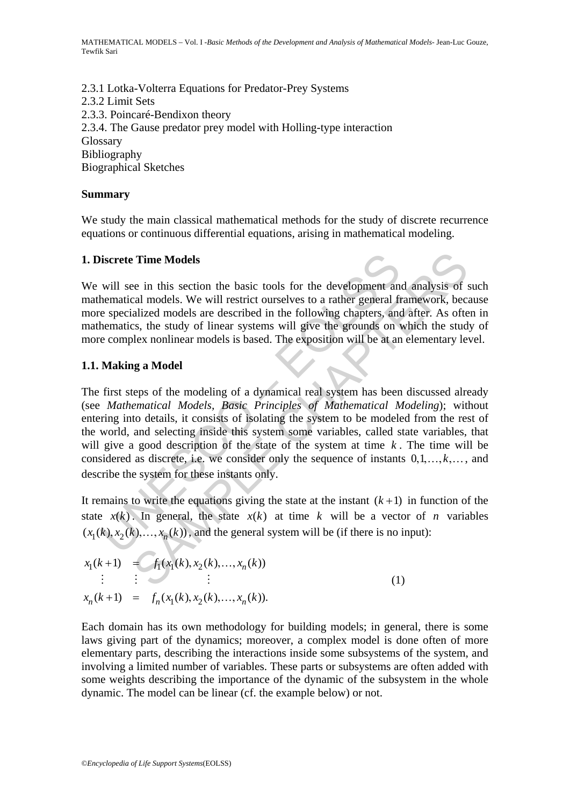2.3.1 Lotka-Volterra Equations for Predator-Prey Systems 2.3.2 Limit Sets 2.3.3. Poincaré-Bendixon theory 2.3.4. The Gause predator prey model with Holling-type interaction Glossary Bibliography Biographical Sketches

# **Summary**

We study the main classical mathematical methods for the study of discrete recurrence equations or continuous differential equations, arising in mathematical modeling.

### **1. Discrete Time Models**

We will see in this section the basic tools for the development and analysis of such mathematical models. We will restrict ourselves to a rather general framework, because more specialized models are described in the following chapters, and after. As often in mathematics, the study of linear systems will give the grounds on which the study of more complex nonlinear models is based. The exposition will be at an elementary level.

### **1.1. Making a Model**

**ultimated models**<br>will see in this section the basic tools for the development an<br>ementical models. We will restrict ourselves to a rather general fit<br>e specialized models are described in the following chapters, an<br>enem **Time Models**<br>
re in this section the basic tools for the development and analysis of<br>
re in this section the basic tools for the development and analysis of<br>
real models. We will restrict ourselves to a rather general fr The first steps of the modeling of a dynamical real system has been discussed already (see *Mathematical Models, Basic Principles of Mathematical Modeling*); without entering into details, it consists of isolating the system to be modeled from the rest of the world, and selecting inside this system some variables, called state variables, that will give a good description of the state of the system at time *k* . The time will be considered as discrete, i.e. we consider only the sequence of instants  $0, 1, \ldots, k, \ldots$ , and describe the system for these instants only.

It remains to write the equations giving the state at the instant  $(k+1)$  in function of the state  $x(k)$ . In general, the state  $x(k)$  at time k will be a vector of *n* variables  $(x_1(k), x_2(k), \ldots, x_n(k))$ , and the general system will be (if there is no input):

$$
x_1(k+1) = f_1(x_1(k), x_2(k), ..., x_n(k))
$$
  
\n
$$
\vdots \qquad \vdots \qquad \vdots
$$
  
\n
$$
x_n(k+1) = f_n(x_1(k), x_2(k), ..., x_n(k)).
$$
\n(1)

Each domain has its own methodology for building models; in general, there is some laws giving part of the dynamics; moreover, a complex model is done often of more elementary parts, describing the interactions inside some subsystems of the system, and involving a limited number of variables. These parts or subsystems are often added with some weights describing the importance of the dynamic of the subsystem in the whole dynamic. The model can be linear (cf. the example below) or not.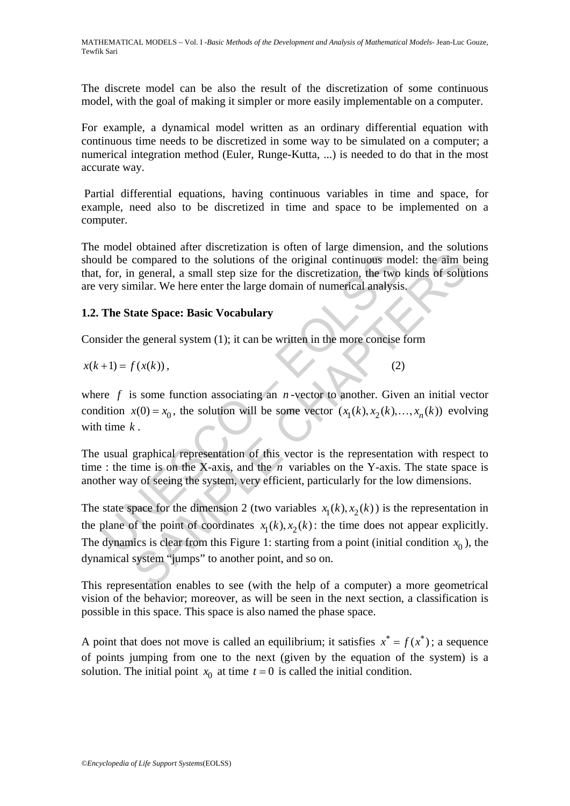The discrete model can be also the result of the discretization of some continuous model, with the goal of making it simpler or more easily implementable on a computer.

For example, a dynamical model written as an ordinary differential equation with continuous time needs to be discretized in some way to be simulated on a computer; a numerical integration method (Euler, Runge-Kutta, ...) is needed to do that in the most accurate way.

 Partial differential equations, having continuous variables in time and space, for example, need also to be discretized in time and space to be implemented on a computer.

The model obtained after discretization is often of large dimension, and the solutions should be compared to the solutions of the original continuous model: the aim being that, for, in general, a small step size for the discretization, the two kinds of solutions are very similar. We here enter the large domain of numerical analysis.

# **1.2. The State Space: Basic Vocabulary**

Consider the general system (1); it can be written in the more concise form

$$
x(k+1) = f(x(k)),\tag{2}
$$

where  $f$  is some function associating an  $n$ -vector to another. Given an initial vector condition  $x(0) = x_0$ , the solution will be some vector  $(x_1(k), x_2(k), ..., x_n(k))$  evolving with time *k* .

The usual graphical representation of this vector is the representation with respect to time : the time is on the X-axis, and the  $n$  variables on the Y-axis. The state space is another way of seeing the system, very efficient, particularly for the low dimensions.

Id be compared to the solutions of the original continuous mo,<br>
for, in general, a small step size for the discretization, the two<br>
very similar. We here enter the large domain of numerical analysis<br>
The State Space: Basi compared to the solutions of the original continuous model: the aim b<br>a general, a small step size for the discretization, the two kinds of solut<br>milar. We here enter the large domain of numerical analysis,<br>tate Space: Ba The state space for the dimension 2 (two variables  $x_1(k), x_2(k)$ ) is the representation in the plane of the point of coordinates  $x_1(k), x_2(k)$ : the time does not appear explicitly. The dynamics is clear from this Figure 1: starting from a point (initial condition  $x_0$ ), the dynamical system "jumps" to another point, and so on.

This representation enables to see (with the help of a computer) a more geometrical vision of the behavior; moreover, as will be seen in the next section, a classification is possible in this space. This space is also named the phase space.

A point that does not move is called an equilibrium; it satisfies  $x^* = f(x^*)$ ; a sequence of points jumping from one to the next (given by the equation of the system) is a solution. The initial point  $x_0$  at time  $t = 0$  is called the initial condition.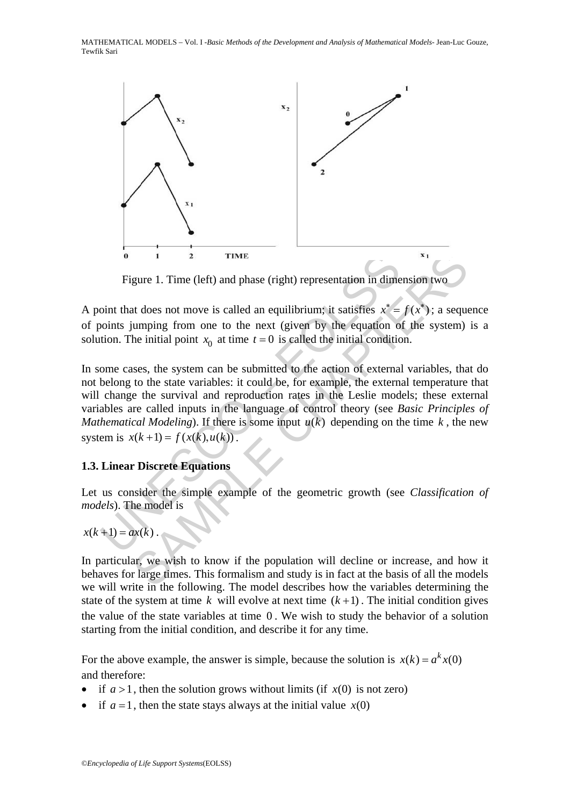

Figure 1. Time (left) and phase (right) representation in dimension two

A point that does not move is called an equilibrium; it satisfies  $x^* = f(x^*)$ ; a sequence of points jumping from one to the next (given by the equation of the system) is a solution. The initial point  $x_0$  at time  $t = 0$  is called the initial condition.

**Example 1.** The (left) and phase (right) representation in dimending that does not move is called an equilibrium; it satisfies  $x^*$  = obints jumping from one to the next (given by the equation of tion. The initial point 1 2 TIME<br>
gure 1. Time (left) and phase (right) representation in dimension two<br>
at does not move is called an equilibrium; it satisfies  $x^* = f(x^*)$ ; a seque<br>
umping from one to the next (given by the equation of the syste In some cases, the system can be submitted to the action of external variables, that do not belong to the state variables: it could be, for example, the external temperature that will change the survival and reproduction rates in the Leslie models; these external variables are called inputs in the language of control theory (see *Basic Principles of Mathematical Modeling*). If there is some input  $u(k)$  depending on the time k, the new system is  $x(k+1) = f(x(k), u(k))$ .

# **1.3. Linear Discrete Equations**

Let us consider the simple example of the geometric growth (see *Classification of models*). The model is

 $x(k+1) = ax(k)$ .

In particular, we wish to know if the population will decline or increase, and how it behaves for large times. This formalism and study is in fact at the basis of all the models we will write in the following. The model describes how the variables determining the state of the system at time  $k$  will evolve at next time  $(k+1)$ . The initial condition gives the value of the state variables at time 0 . We wish to study the behavior of a solution starting from the initial condition, and describe it for any time.

For the above example, the answer is simple, because the solution is  $x(k) = a^k x(0)$ and therefore:

- if  $a > 1$ , then the solution grows without limits (if  $x(0)$  is not zero)
- if  $a = 1$ , then the state stays always at the initial value  $x(0)$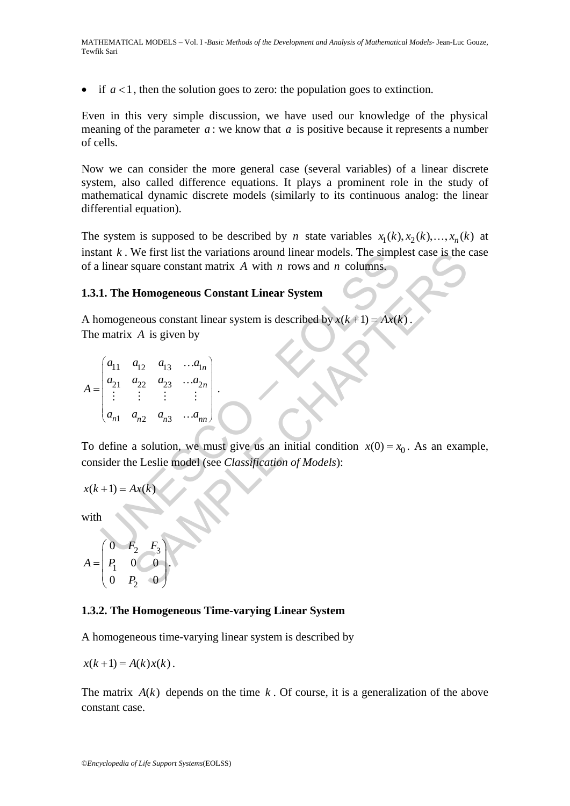if  $a < 1$ , then the solution goes to zero: the population goes to extinction.

Even in this very simple discussion, we have used our knowledge of the physical meaning of the parameter *a* : we know that *a* is positive because it represents a number of cells.

Now we can consider the more general case (several variables) of a linear discrete system, also called difference equations. It plays a prominent role in the study of mathematical dynamic discrete models (similarly to its continuous analog: the linear differential equation).

The system is supposed to be described by *n* state variables  $x_1(k), x_2(k), ..., x_n(k)$  at instant  $k$ . We first list the variations around linear models. The simplest case is the case of a linear square constant matrix *A* with *n* rows and *n* columns.

# **1.3.1. The Homogeneous Constant Linear System**

A homogeneous constant linear system is described by  $x(k+1) = Ax(k)$ The matrix *A* is given by

$$
A = \begin{pmatrix} a_{11} & a_{12} & a_{13} & \dots & a_{1n} \\ a_{21} & a_{22} & a_{23} & \dots & a_{2n} \\ \vdots & \vdots & \vdots & \vdots & \vdots \\ a_{n1} & a_{n2} & a_{n3} & \dots & a_{nn} \end{pmatrix}.
$$

ant *k*. We first list the variations around inear models. The simple linear square constant matrix *A* with *n* rows and *n* columns,<br>
1. The Homogeneous Constant Linear System<br>
omogeneous constant linear system is descr We first list the variations around linear models. The simplest case is the square constant matrix A with *n* rows and *n* columns.<br> **Homogeneous Constant Linear System**<br>
neous constant linear system is described by  $x(k+1$ To define a solution, we must give us an initial condition  $x(0) = x_0$ . As an example, consider the Leslie model (see *Classification of Models*):

$$
x(k+1) = Ax(k)
$$

with

$$
A = \begin{pmatrix} 0 & F_2 & F_3 \\ P_1 & 0 & 0 \\ 0 & P_2 & 0 \end{pmatrix}.
$$

### **1.3.2. The Homogeneous Time-varying Linear System**

A homogeneous time-varying linear system is described by

$$
x(k+1) = A(k)x(k).
$$

The matrix  $A(k)$  depends on the time  $k$ . Of course, it is a generalization of the above constant case.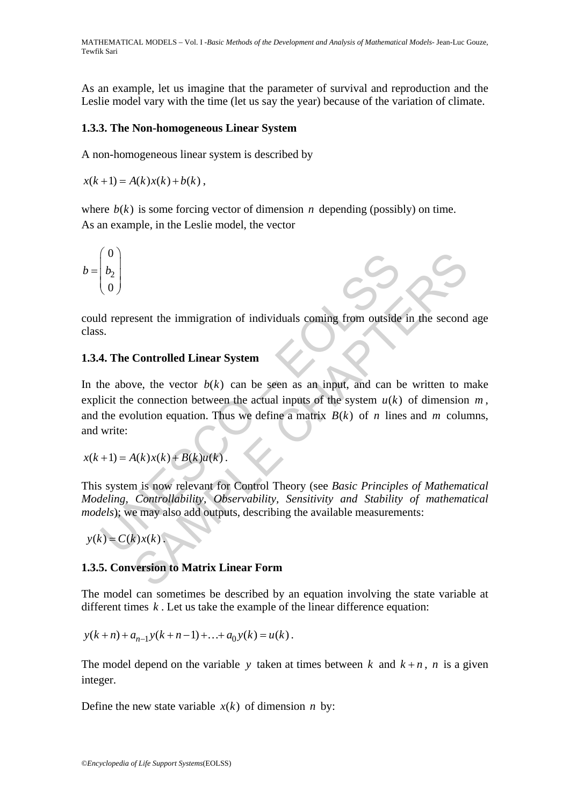As an example, let us imagine that the parameter of survival and reproduction and the Leslie model vary with the time (let us say the year) because of the variation of climate.

# **1.3.3. The Non-homogeneous Linear System**

A non-homogeneous linear system is described by

 $x(k+1) = A(k)x(k) + b(k)$ ,

where  $b(k)$  is some forcing vector of dimension *n* depending (possibly) on time. As an example, in the Leslie model, the vector

$$
b = \begin{pmatrix} 0 \\ b_2 \\ 0 \end{pmatrix}
$$

could represent the immigration of individuals coming from outside in the second age class.

# **1.3.4. The Controlled Linear System**

 $\begin{pmatrix} 0 \\ b_2 \\ 0 \end{pmatrix}$ <br>
d represent the immigration of individuals coming from outside<br>
s.<br> **4. The Controlled Linear System**<br>
he above, the vector  $b(k)$  can be seen as an input, and can b<br>
licit the connection between t Sent the immigration of individuals coming from outside in the second<br>
Controlled Linear System<br>
we, the vector  $b(k)$  can be seen as an input, and can be written to n<br>
connection between the actual inputs of the system  $u$ In the above, the vector  $b(k)$  can be seen as an input, and can be written to make explicit the connection between the actual inputs of the system  $u(k)$  of dimension  $m$ , and the evolution equation. Thus we define a matrix  $B(k)$  of *n* lines and *m* columns, and write:

$$
x(k+1) = A(k)x(k) + B(k)u(k).
$$

This system is now relevant for Control Theory (see *Basic Principles of Mathematical Modeling, Controllability, Observability, Sensitivity and Stability of mathematical models*); we may also add outputs, describing the available measurements:

$$
y(k) = C(k)x(k).
$$

# **1.3.5. Conversion to Matrix Linear Form**

The model can sometimes be described by an equation involving the state variable at different times *k* . Let us take the example of the linear difference equation:

$$
y(k+n) + a_{n-1}y(k+n-1) + ... + a_0y(k) = u(k).
$$

The model depend on the variable *y* taken at times between *k* and  $k+n$ , *n* is a given integer.

Define the new state variable  $x(k)$  of dimension *n* by: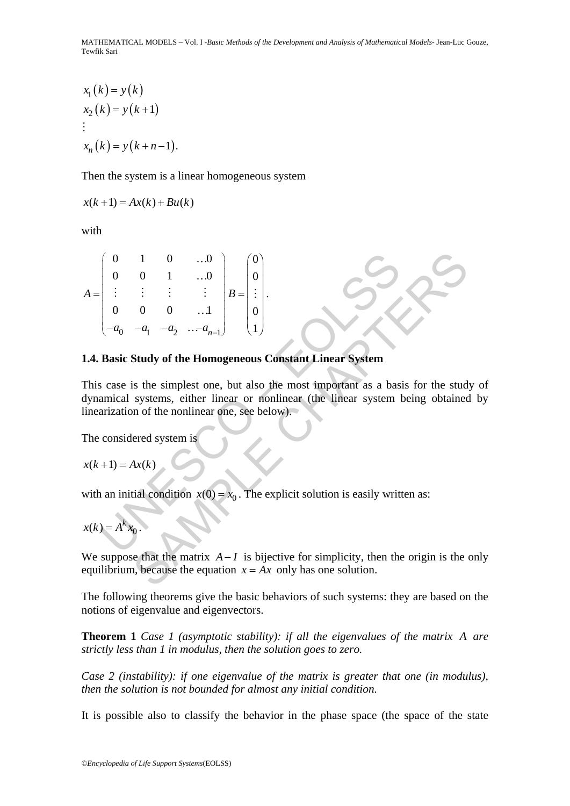$$
x_1(k) = y(k)
$$
  
\n
$$
x_2(k) = y(k+1)
$$
  
\n
$$
\vdots
$$
  
\n
$$
x_n(k) = y(k+n-1).
$$

Then the system is a linear homogeneous system

$$
x(k+1) = Ax(k) + Bu(k)
$$

with

$$
A = \begin{pmatrix} 0 & 1 & 0 & \dots 0 \\ 0 & 0 & 1 & \dots 0 \\ \vdots & \vdots & \vdots & \vdots \\ 0 & 0 & 0 & \dots 1 \\ -a_0 & -a_1 & -a_2 & \dots -a_{n-1} \end{pmatrix} B = \begin{pmatrix} 0 \\ 0 \\ \vdots \\ 0 \\ 1 \end{pmatrix}.
$$
  
**1.4. Basic Study of the Homogeneous Constant Linear System**  
This case is the simplest one, but also the most important as a bas  
dynamical systems, either linear or nonlinear (the linear system  
linearization of the nonlinear one, see below).  
The considered system is  
 $x(k+1) = Ax(k)$   
with an initial condition  $x(0) = x_0$ . The explicit solution is easily written  
 $x(k) = A^k x_0$ .

### **1.4. Basic Study of the Homogeneous Constant Linear System**

 $\begin{pmatrix} 1 & 0 & ...0 \\ 0 & 1 & ...0 \\ \vdots & \vdots & \vdots \\ 0 & 0 & ...1 \\ -a_1 & -a_2 & ...-a_{n-1} \end{pmatrix} B = \begin{pmatrix} 0 \\ 0 \\ \vdots \\ 0 \\ 1 \end{pmatrix}$ <br> **Study of the Homogeneous Constant Linear System**<br>
is the simplest one, but also the most important as a basis for the This case is the simplest one, but also the most important as a basis for the study of dynamical systems, either linear or nonlinear (the linear system being obtained by linearization of the nonlinear one, see below).

The considered system is

$$
x(k+1) = Ax(k)
$$

with an initial condition  $x(0) = x_0$ . The explicit solution is easily written as:

$$
x(k) = A^k x_0.
$$

We suppose that the matrix  $A-I$  is bijective for simplicity, then the origin is the only equilibrium, because the equation  $x = Ax$  only has one solution.

The following theorems give the basic behaviors of such systems: they are based on the notions of eigenvalue and eigenvectors.

**Theorem 1** *Case 1 (asymptotic stability): if all the eigenvalues of the matrix A are strictly less than 1 in modulus, then the solution goes to zero.* 

*Case 2 (instability): if one eigenvalue of the matrix is greater that one (in modulus), then the solution is not bounded for almost any initial condition.* 

It is possible also to classify the behavior in the phase space (the space of the state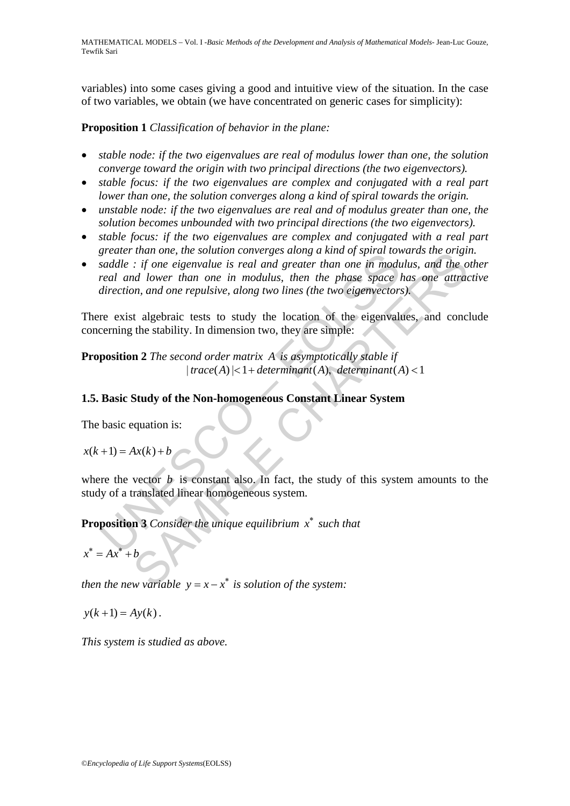variables) into some cases giving a good and intuitive view of the situation. In the case of two variables, we obtain (we have concentrated on generic cases for simplicity):

**Proposition 1** *Classification of behavior in the plane:* 

- *stable node: if the two eigenvalues are real of modulus lower than one, the solution converge toward the origin with two principal directions (the two eigenvectors).*
- *stable focus: if the two eigenvalues are complex and conjugated with a real part lower than one, the solution converges along a kind of spiral towards the origin.*
- *unstable node: if the two eigenvalues are real and of modulus greater than one, the solution becomes unbounded with two principal directions (the two eigenvectors).*
- *stable focus: if the two eigenvalues are complex and conjugated with a real part greater than one, the solution converges along a kind of spiral towards the origin.*
- gradule : if one eigenvalue is real and greater than one in modification<br>staddle : if one eigenvalue is real and greater than one in modifical<br>and lower than one in modulus, then the phase space is<br>direction, and one repu *Final one, ine Solution converges along a kind of spatial ordering*  $\therefore$  *if one eigenvalue is real and greater than one in modulus, and the od lower than one in modulus, then the phase space has one attraction, and one* • *saddle : if one eigenvalue is real and greater than one in modulus, and the other real and lower than one in modulus, then the phase space has one attractive direction, and one repulsive, along two lines (the two eigenvectors).*

There exist algebraic tests to study the location of the eigenvalues, and conclude concerning the stability. In dimension two, they are simple:

**Proposition 2** *The second order matrix A is asymptotically stable if*   $|trace(A)|<1+ determinant(A),$  determinant  $(A)<1$ 

# **1.5. Basic Study of the Non-homogeneous Constant Linear System**

The basic equation is:

$$
x(k+1) = Ax(k) + b
$$

where the vector  $b$  is constant also. In fact, the study of this system amounts to the study of a translated linear homogeneous system.

**Proposition 3** *Consider the unique equilibrium x* <sup>∗</sup> *such that* 

 $x^* = Ax^* + b$ 

*then the new variable*  $y = x - x^*$  *is solution of the system:* 

$$
y(k+1) = Ay(k).
$$

*This system is studied as above.*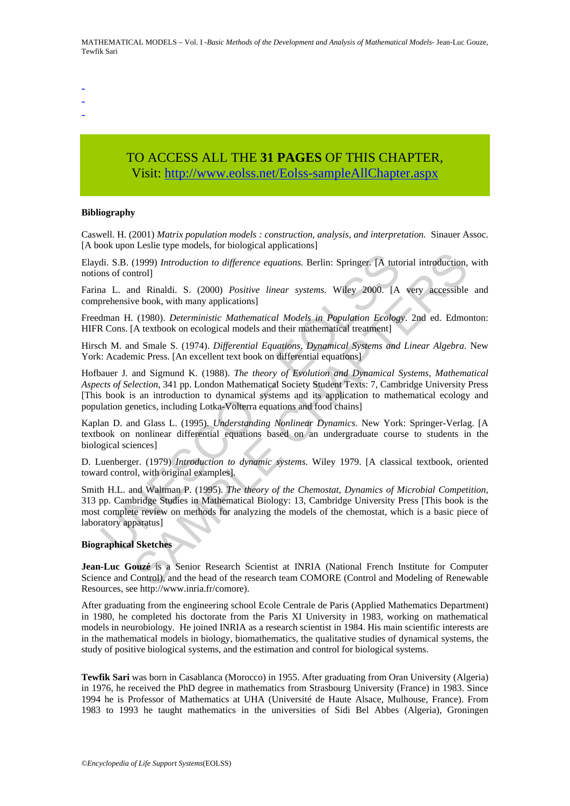- -
- -

# TO ACCESS ALL THE **31 PAGES** OF THIS CHAPTER, Visit[: http://www.eolss.net/Eolss-sampleAllChapter.aspx](https://www.eolss.net/ebooklib/sc_cart.aspx?File=E6-03B-01-02)

#### **Bibliography**

Caswell. H. (2001) *Matrix population models : construction, analysis, and interpretation.* Sinauer Assoc. [A book upon Leslie type models, for biological applications]

Elaydi. S.B. (1999) *Introduction to difference equations.* Berlin: Springer. [A tutorial introduction, with notions of control]

Farina L. and Rinaldi. S. (2000) *Positive linear systems.* Wiley 2000. [A very accessible and comprehensive book, with many applications]

Freedman H. (1980). *Deterministic Mathematical Models in Population Ecology*. 2nd ed. Edmonton: HIFR Cons. [A textbook on ecological models and their mathematical treatment]

Hirsch M. and Smale S. (1974). *Differential Equations, Dynamical Systems and Linear Algebra*. New York: Academic Press. [An excellent text book on differential equations]

di. S.B. (1999) *Introduction to difference equations*. Berlin: Springer. [A tutoms of control]<br>na L. and Rinaldi. S. (2000) *Positive linear systems*. Wiley 2000. [A<br>prehensive book, with many applications]<br>man H. (1980). (1999) *Introduction to difference equations*. Berlin: Springer. [A tutorial introduction, ntrol]<br>
(1999) *Introduction to difference equations*. Berlin: Springer. [A tutorial introduction,<br>
the be book, with many applica Hofbauer J. and Sigmund K. (1988). *The theory of Evolution and Dynamical Systems, Mathematical Aspects of Selection*, 341 pp. London Mathematical Society Student Texts: 7, Cambridge University Press [This book is an introduction to dynamical systems and its application to mathematical ecology and population genetics, including Lotka-Volterra equations and food chains]

Kaplan D. and Glass L. (1995). *Understanding Nonlinear Dynamics*. New York: Springer-Verlag. [A textbook on nonlinear differential equations based on an undergraduate course to students in the biological sciences]

D. Luenberger. (1979) *Introduction to dynamic systems*. Wiley 1979. [A classical textbook, oriented toward control, with original examples].

Smith H.L. and Waltman P. (1995). *The theory of the Chemostat, Dynamics of Microbial Competition*, 313 pp. Cambridge Studies in Mathematical Biology: 13, Cambridge University Press [This book is the most complete review on methods for analyzing the models of the chemostat, which is a basic piece of laboratory apparatus]

#### **Biographical Sketches**

**Jean-Luc Gouzé** is a Senior Research Scientist at INRIA (National French Institute for Computer Science and Control), and the head of the research team COMORE (Control and Modeling of Renewable Resources, see http://www.inria.fr/comore).

After graduating from the engineering school Ecole Centrale de Paris (Applied Mathematics Department) in 1980, he completed his doctorate from the Paris XI University in 1983, working on mathematical models in neurobiology. He joined INRIA as a research scientist in 1984. His main scientific interests are in the mathematical models in biology, biomathematics, the qualitative studies of dynamical systems, the study of positive biological systems, and the estimation and control for biological systems.

**Tewfik Sari** was born in Casablanca (Morocco) in 1955. After graduating from Oran University (Algeria) in 1976, he received the PhD degree in mathematics from Strasbourg University (France) in 1983. Since 1994 he is Professor of Mathematics at UHA (Université de Haute Alsace, Mulhouse, France). From 1983 to 1993 he taught mathematics in the universities of Sidi Bel Abbes (Algeria), Groningen